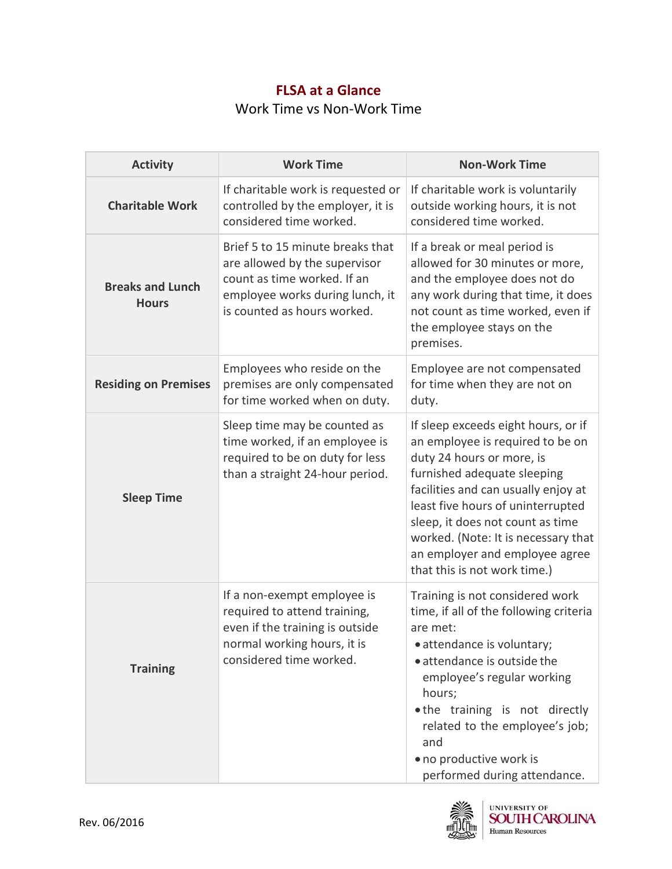## **FLSA at a Glance**  Work Time vs Non-Work Time

| <b>Activity</b>                         | <b>Work Time</b>                                                                                                                                                   | <b>Non-Work Time</b>                                                                                                                                                                                                                                                                                                                                         |
|-----------------------------------------|--------------------------------------------------------------------------------------------------------------------------------------------------------------------|--------------------------------------------------------------------------------------------------------------------------------------------------------------------------------------------------------------------------------------------------------------------------------------------------------------------------------------------------------------|
| <b>Charitable Work</b>                  | If charitable work is requested or<br>controlled by the employer, it is<br>considered time worked.                                                                 | If charitable work is voluntarily<br>outside working hours, it is not<br>considered time worked.                                                                                                                                                                                                                                                             |
| <b>Breaks and Lunch</b><br><b>Hours</b> | Brief 5 to 15 minute breaks that<br>are allowed by the supervisor<br>count as time worked. If an<br>employee works during lunch, it<br>is counted as hours worked. | If a break or meal period is<br>allowed for 30 minutes or more,<br>and the employee does not do<br>any work during that time, it does<br>not count as time worked, even if<br>the employee stays on the<br>premises.                                                                                                                                         |
| <b>Residing on Premises</b>             | Employees who reside on the<br>premises are only compensated<br>for time worked when on duty.                                                                      | Employee are not compensated<br>for time when they are not on<br>duty.                                                                                                                                                                                                                                                                                       |
| <b>Sleep Time</b>                       | Sleep time may be counted as<br>time worked, if an employee is<br>required to be on duty for less<br>than a straight 24-hour period.                               | If sleep exceeds eight hours, or if<br>an employee is required to be on<br>duty 24 hours or more, is<br>furnished adequate sleeping<br>facilities and can usually enjoy at<br>least five hours of uninterrupted<br>sleep, it does not count as time<br>worked. (Note: It is necessary that<br>an employer and employee agree<br>that this is not work time.) |
| <b>Training</b>                         | If a non-exempt employee is<br>required to attend training,<br>even if the training is outside<br>normal working hours, it is<br>considered time worked.           | Training is not considered work<br>time, if all of the following criteria<br>are met:<br>· attendance is voluntary;<br>• attendance is outside the<br>employee's regular working<br>hours;<br>.the training is not directly<br>related to the employee's job;<br>and<br>• no productive work is<br>performed during attendance.                              |



UNIVERSITY OF<br>**SOUTH CAROLINA**<br>Human Resources